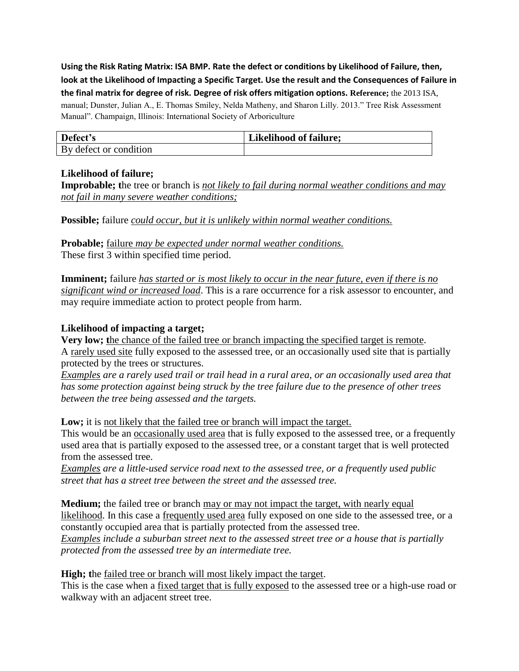**Using the Risk Rating Matrix: ISA BMP. Rate the defect or conditions by Likelihood of Failure, then, look at the Likelihood of Impacting a Specific Target. Use the result and the Consequences of Failure in the final matrix for degree of risk. Degree of risk offers mitigation options. Reference;** the 2013 ISA, manual; Dunster, Julian A., E. Thomas Smiley, Nelda Matheny, and Sharon Lilly. 2013." Tree Risk Assessment Manual". Champaign, Illinois: International Society of Arboriculture

| Defect's               | <b>Likelihood of failure;</b> |
|------------------------|-------------------------------|
| By defect or condition |                               |

## **Likelihood of failure;**

**Improbable; t**he tree or branch is *not likely to fail during normal weather conditions and may not fail in many severe weather conditions;*

**Possible;** failure *could occur, but it is unlikely within normal weather conditions.*

**Probable;** failure *may be expected under normal weather conditions.* These first 3 within specified time period.

**Imminent;** failure *has started or is most likely to occur in the near future, even if there is no significant wind or increased load*. This is a rare occurrence for a risk assessor to encounter, and may require immediate action to protect people from harm.

## **Likelihood of impacting a target;**

**Very low; t**he chance of the failed tree or branch impacting the specified target is remote. A rarely used site fully exposed to the assessed tree, or an occasionally used site that is partially protected by the trees or structures.

*Examples are a rarely used trail or trail head in a rural area, or an occasionally used area that has some protection against being struck by the tree failure due to the presence of other trees between the tree being assessed and the targets.*

Low; it is not likely that the failed tree or branch will impact the target.

This would be an occasionally used area that is fully exposed to the assessed tree, or a frequently used area that is partially exposed to the assessed tree, or a constant target that is well protected from the assessed tree.

*Examples are a little-used service road next to the assessed tree, or a frequently used public street that has a street tree between the street and the assessed tree.*

**Medium;** the failed tree or branch may or may not impact the target, with nearly equal likelihood. In this case a frequently used area fully exposed on one side to the assessed tree, or a constantly occupied area that is partially protected from the assessed tree. *Examples include a suburban street next to the assessed street tree or a house that is partially protected from the assessed tree by an intermediate tree.*

**High;** the failed tree or branch will most likely impact the target.

This is the case when a fixed target that is fully exposed to the assessed tree or a high-use road or walkway with an adjacent street tree.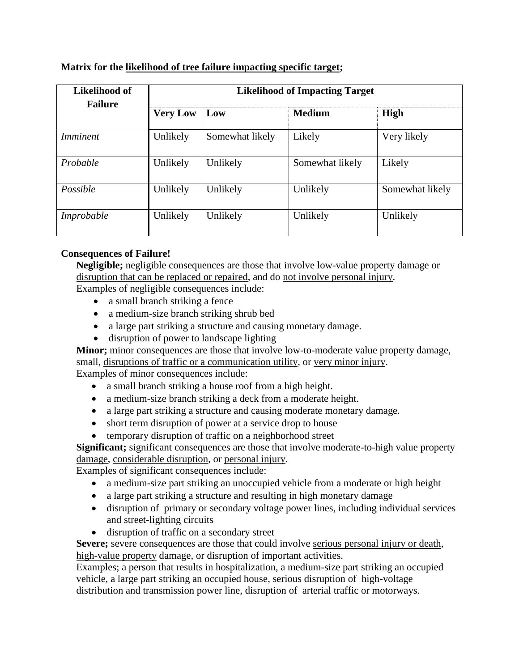## **Matrix for the likelihood of tree failure impacting specific target;**

| Likelihood of   | <b>Likelihood of Impacting Target</b> |                 |                 |                 |  |
|-----------------|---------------------------------------|-----------------|-----------------|-----------------|--|
| <b>Failure</b>  | <b>Very Low</b>                       | Low             | <b>Medium</b>   | <b>High</b>     |  |
| <i>Imminent</i> | Unlikely                              | Somewhat likely | Likely          | Very likely     |  |
| Probable        | Unlikely                              | Unlikely        | Somewhat likely | Likely          |  |
| Possible        | Unlikely                              | Unlikely        | Unlikely        | Somewhat likely |  |
| Improbable      | Unlikely                              | Unlikely        | Unlikely        | Unlikely        |  |

## **Consequences of Failure!**

**Negligible;** negligible consequences are those that involve low-value property damage or disruption that can be replaced or repaired, and do not involve personal injury. Examples of negligible consequences include:

- a small branch striking a fence
- a medium-size branch striking shrub bed
- a large part striking a structure and causing monetary damage.
- disruption of power to landscape lighting

**Minor;** minor consequences are those that involve low-to-moderate value property damage, small, disruptions of traffic or a communication utility, or very minor injury. Examples of minor consequences include:

• a small branch striking a house roof from a high height.

- a medium-size branch striking a deck from a moderate height.
- a large part striking a structure and causing moderate monetary damage.
- short term disruption of power at a service drop to house
- temporary disruption of traffic on a neighborhood street

**Significant;** significant consequences are those that involve moderate-to-high value property damage, considerable disruption, or personal injury.

Examples of significant consequences include:

- a medium-size part striking an unoccupied vehicle from a moderate or high height
- a large part striking a structure and resulting in high monetary damage
- disruption of primary or secondary voltage power lines, including individual services and street-lighting circuits
- disruption of traffic on a secondary street

Severe; severe consequences are those that could involve serious personal injury or death, high-value property damage, or disruption of important activities.

Examples; a person that results in hospitalization, a medium-size part striking an occupied vehicle, a large part striking an occupied house, serious disruption of high-voltage distribution and transmission power line, disruption of arterial traffic or motorways.